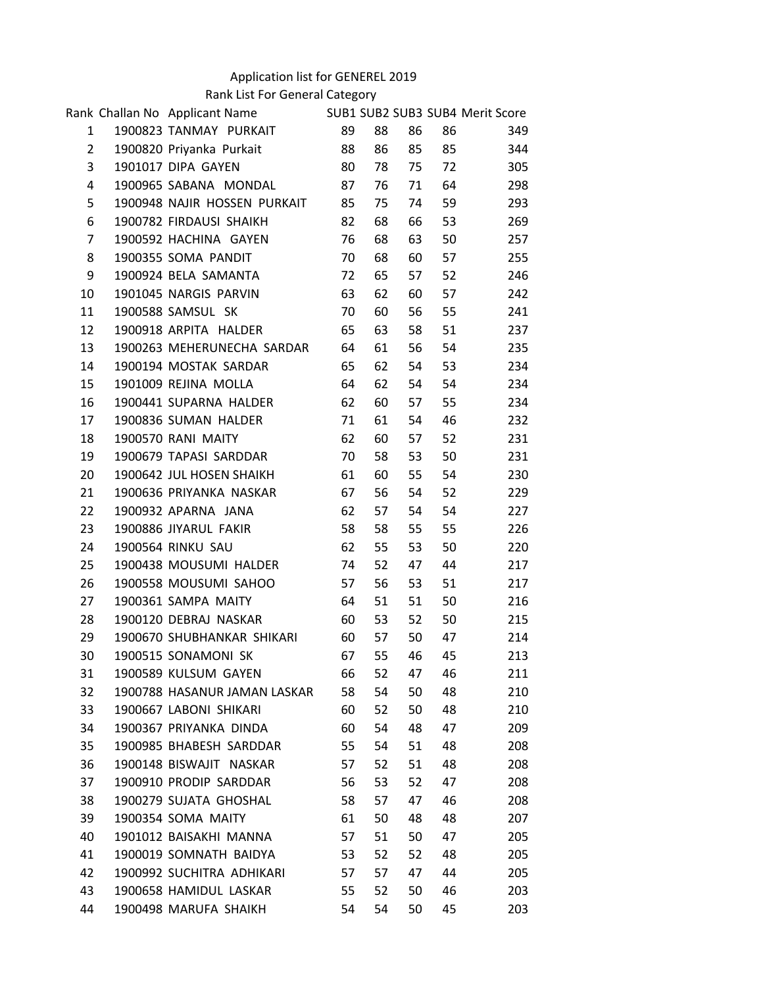## Application list for GENEREL 2019

Rank List For General Category

|                | Rank Challan No Applicant Name |    |    |    |    | SUB1 SUB2 SUB3 SUB4 Merit Score |  |
|----------------|--------------------------------|----|----|----|----|---------------------------------|--|
| $\mathbf{1}$   | 1900823 TANMAY PURKAIT         | 89 | 88 | 86 | 86 | 349                             |  |
| $\overline{2}$ | 1900820 Priyanka Purkait       | 88 | 86 | 85 | 85 | 344                             |  |
| 3              | 1901017 DIPA GAYEN             | 80 | 78 | 75 | 72 | 305                             |  |
| 4              | 1900965 SABANA MONDAL          | 87 | 76 | 71 | 64 | 298                             |  |
| 5              | 1900948 NAJIR HOSSEN PURKAIT   | 85 | 75 | 74 | 59 | 293                             |  |
| 6              | 1900782 FIRDAUSI SHAIKH        | 82 | 68 | 66 | 53 | 269                             |  |
| $\overline{7}$ | 1900592 HACHINA GAYEN          | 76 | 68 | 63 | 50 | 257                             |  |
| 8              | 1900355 SOMA PANDIT            | 70 | 68 | 60 | 57 | 255                             |  |
| 9              | 1900924 BELA SAMANTA           | 72 | 65 | 57 | 52 | 246                             |  |
| 10             | 1901045 NARGIS PARVIN          | 63 | 62 | 60 | 57 | 242                             |  |
| 11             | 1900588 SAMSUL SK              | 70 | 60 | 56 | 55 | 241                             |  |
| 12             | 1900918 ARPITA HALDER          | 65 | 63 | 58 | 51 | 237                             |  |
| 13             | 1900263 MEHERUNECHA SARDAR     | 64 | 61 | 56 | 54 | 235                             |  |
| 14             | 1900194 MOSTAK SARDAR          | 65 | 62 | 54 | 53 | 234                             |  |
| 15             | 1901009 REJINA MOLLA           | 64 | 62 | 54 | 54 | 234                             |  |
| 16             | 1900441 SUPARNA HALDER         | 62 | 60 | 57 | 55 | 234                             |  |
| 17             | 1900836 SUMAN HALDER           | 71 | 61 | 54 | 46 | 232                             |  |
| 18             | 1900570 RANI MAITY             | 62 | 60 | 57 | 52 | 231                             |  |
| 19             | 1900679 TAPASI SARDDAR         | 70 | 58 | 53 | 50 | 231                             |  |
| 20             | 1900642 JUL HOSEN SHAIKH       | 61 | 60 | 55 | 54 | 230                             |  |
| 21             | 1900636 PRIYANKA NASKAR        | 67 | 56 | 54 | 52 | 229                             |  |
| 22             | 1900932 APARNA JANA            | 62 | 57 | 54 | 54 | 227                             |  |
| 23             | 1900886 JIYARUL FAKIR          | 58 | 58 | 55 | 55 | 226                             |  |
| 24             | 1900564 RINKU SAU              | 62 | 55 | 53 | 50 | 220                             |  |
| 25             | 1900438 MOUSUMI HALDER         | 74 | 52 | 47 | 44 | 217                             |  |
| 26             | 1900558 MOUSUMI SAHOO          | 57 | 56 | 53 | 51 | 217                             |  |
| 27             | 1900361 SAMPA MAITY            | 64 | 51 | 51 | 50 | 216                             |  |
| 28             | 1900120 DEBRAJ NASKAR          | 60 | 53 | 52 | 50 | 215                             |  |
| 29             | 1900670 SHUBHANKAR SHIKARI     | 60 | 57 | 50 | 47 | 214                             |  |
| 30             | 1900515 SONAMONI SK            | 67 | 55 | 46 | 45 | 213                             |  |
| 31             | 1900589 KULSUM GAYEN           | 66 | 52 | 47 | 46 | 211                             |  |
| 32             | 1900788 HASANUR JAMAN LASKAR   | 58 | 54 | 50 | 48 | 210                             |  |
| 33             | 1900667 LABONI SHIKARI         | 60 | 52 | 50 | 48 | 210                             |  |
| 34             | 1900367 PRIYANKA DINDA         | 60 | 54 | 48 | 47 | 209                             |  |
| 35             | 1900985 BHABESH SARDDAR        | 55 | 54 | 51 | 48 | 208                             |  |
| 36             | 1900148 BISWAJIT NASKAR        | 57 | 52 | 51 | 48 | 208                             |  |
| 37             | 1900910 PRODIP SARDDAR         | 56 | 53 | 52 | 47 | 208                             |  |
| 38             | 1900279 SUJATA GHOSHAL         | 58 | 57 | 47 | 46 | 208                             |  |
| 39             | 1900354 SOMA MAITY             | 61 | 50 | 48 | 48 | 207                             |  |
| 40             | 1901012 BAISAKHI MANNA         | 57 | 51 | 50 | 47 | 205                             |  |
| 41             | 1900019 SOMNATH BAIDYA         | 53 | 52 | 52 | 48 | 205                             |  |
| 42             | 1900992 SUCHITRA ADHIKARI      | 57 | 57 | 47 | 44 | 205                             |  |
| 43             | 1900658 HAMIDUL LASKAR         | 55 | 52 | 50 | 46 | 203                             |  |
| 44             | 1900498 MARUFA SHAIKH          | 54 | 54 | 50 | 45 | 203                             |  |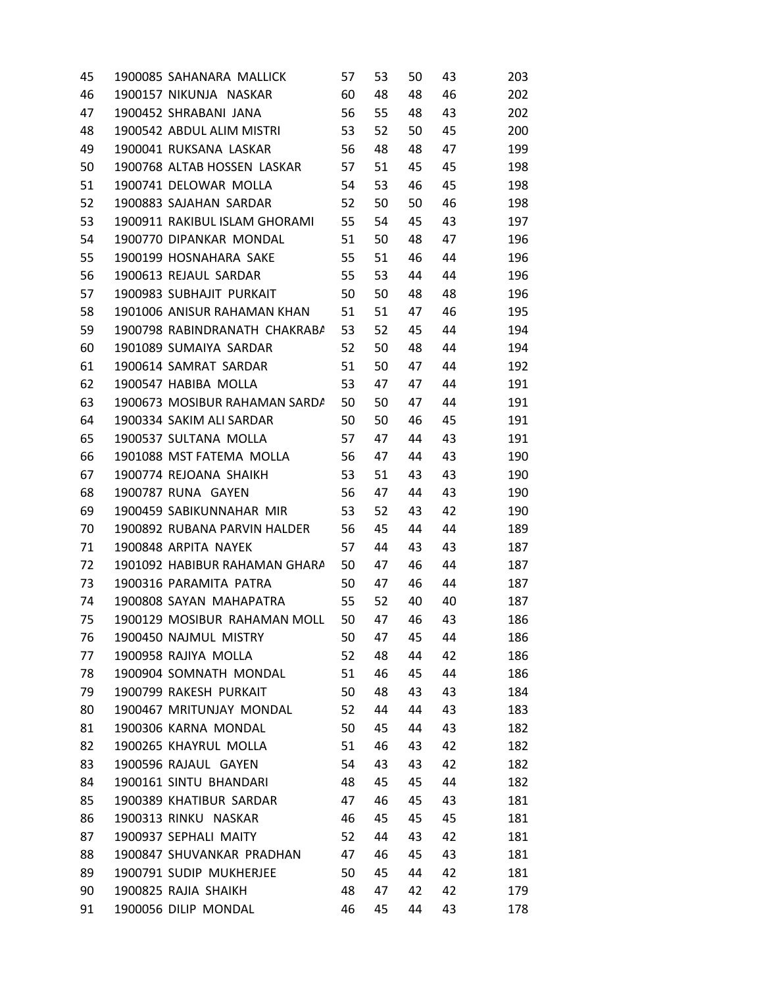| 45 | 1900085 SAHANARA MALLICK         | 57 | 53 | 50 | 43 | 203 |  |
|----|----------------------------------|----|----|----|----|-----|--|
| 46 | 1900157 NIKUNJA NASKAR 60        |    | 48 | 48 | 46 | 202 |  |
| 47 | 1900452 SHRABANI JANA            | 56 | 55 | 48 | 43 | 202 |  |
| 48 | 1900542 ABDUL ALIM MISTRI        | 53 | 52 | 50 | 45 | 200 |  |
| 49 | 1900041 RUKSANA LASKAR 56        |    | 48 | 48 | 47 | 199 |  |
| 50 | 1900768 ALTAB HOSSEN LASKAR 57   |    | 51 | 45 | 45 | 198 |  |
| 51 | 1900741 DELOWAR MOLLA 54         |    | 53 | 46 | 45 | 198 |  |
| 52 | 1900883 SAJAHAN SARDAR           | 52 | 50 | 50 | 46 | 198 |  |
| 53 | 1900911 RAKIBUL ISLAM GHORAMI 55 |    | 54 | 45 | 43 | 197 |  |
| 54 | 1900770 DIPANKAR MONDAL<br>51    |    | 50 | 48 | 47 | 196 |  |
| 55 | 1900199 HOSNAHARA SAKE           | 55 | 51 | 46 | 44 | 196 |  |
| 56 | 1900613 REJAUL SARDAR 55         |    | 53 | 44 | 44 | 196 |  |
| 57 | 1900983 SUBHAJIT PURKAIT         | 50 | 50 | 48 | 48 | 196 |  |
| 58 | 1901006 ANISUR RAHAMAN KHAN 51   |    | 51 | 47 | 46 | 195 |  |
| 59 | 1900798 RABINDRANATH CHAKRABA    | 53 | 52 | 45 | 44 | 194 |  |
| 60 | 1901089 SUMAIYA SARDAR           | 52 | 50 | 48 | 44 | 194 |  |
| 61 | 1900614 SAMRAT SARDAR 51         |    | 50 | 47 | 44 | 192 |  |
| 62 | 1900547 HABIBA MOLLA             | 53 | 47 | 47 | 44 | 191 |  |
| 63 | 1900673 MOSIBUR RAHAMAN SARDA 50 |    | 50 | 47 | 44 | 191 |  |
| 64 | 1900334 SAKIM ALI SARDAR 50      |    | 50 | 46 | 45 | 191 |  |
| 65 | 1900537 SULTANA MOLLA 57         |    | 47 | 44 | 43 | 191 |  |
| 66 | 1901088 MST FATEMA MOLLA 56      |    | 47 | 44 | 43 | 190 |  |
| 67 | 1900774 REJOANA SHAIKH           | 53 | 51 | 43 | 43 | 190 |  |
| 68 | 1900787 RUNA GAYEN 56            |    | 47 | 44 | 43 | 190 |  |
| 69 | 1900459 SABIKUNNAHAR MIR         | 53 | 52 | 43 | 42 | 190 |  |
| 70 | 1900892 RUBANA PARVIN HALDER     | 56 | 45 | 44 | 44 | 189 |  |
| 71 | 1900848 ARPITA NAYEK             | 57 | 44 | 43 | 43 | 187 |  |
| 72 | 1901092 HABIBUR RAHAMAN GHARA    | 50 | 47 | 46 | 44 | 187 |  |
| 73 | 1900316 PARAMITA PATRA           | 50 | 47 | 46 | 44 | 187 |  |
| 74 | 1900808 SAYAN MAHAPATRA 55       |    | 52 | 40 | 40 | 187 |  |
| 75 | 1900129 MOSIBUR RAHAMAN MOLL     | 50 | 47 | 46 | 43 | 186 |  |
| 76 | 1900450 NAJMUL MISTRY            | 50 | 47 | 45 | 44 | 186 |  |
| 77 | 1900958 RAJIYA MOLLA             | 52 | 48 | 44 | 42 | 186 |  |
| 78 | 1900904 SOMNATH MONDAL           | 51 | 46 | 45 | 44 | 186 |  |
| 79 | 1900799 RAKESH PURKAIT           | 50 | 48 | 43 | 43 | 184 |  |
| 80 | 1900467 MRITUNJAY MONDAL         | 52 | 44 | 44 | 43 | 183 |  |
| 81 | 1900306 KARNA MONDAL             | 50 | 45 | 44 | 43 | 182 |  |
| 82 | 1900265 KHAYRUL MOLLA            | 51 | 46 | 43 | 42 | 182 |  |
| 83 | 1900596 RAJAUL GAYEN             | 54 | 43 | 43 | 42 | 182 |  |
| 84 | 1900161 SINTU BHANDARI           | 48 | 45 | 45 | 44 | 182 |  |
| 85 | 1900389 KHATIBUR SARDAR          | 47 | 46 | 45 | 43 | 181 |  |
| 86 | 1900313 RINKU NASKAR             | 46 | 45 | 45 | 45 | 181 |  |
| 87 | 1900937 SEPHALI MAITY            | 52 | 44 | 43 | 42 | 181 |  |
| 88 | 1900847 SHUVANKAR PRADHAN        | 47 | 46 | 45 | 43 | 181 |  |
| 89 | 1900791 SUDIP MUKHERJEE          | 50 | 45 | 44 | 42 | 181 |  |
| 90 | 1900825 RAJIA SHAIKH             | 48 | 47 | 42 | 42 | 179 |  |
| 91 | 1900056 DILIP MONDAL             | 46 | 45 | 44 | 43 | 178 |  |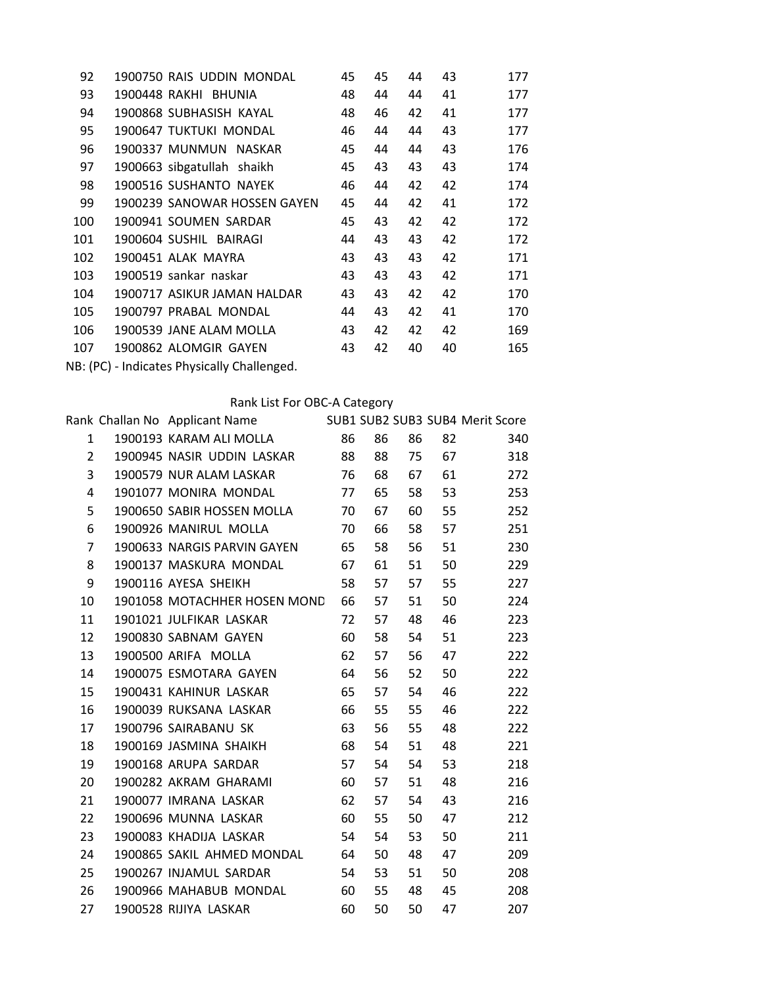| 92                                          | 1900750 RAIS UDDIN MONDAL    | 45 | 45 | 44 | 43 | 177 |  |
|---------------------------------------------|------------------------------|----|----|----|----|-----|--|
| 93                                          | 1900448 RAKHI BHUNIA         | 48 | 44 | 44 | 41 | 177 |  |
| 94                                          | 1900868 SUBHASISH KAYAL      | 48 | 46 | 42 | 41 | 177 |  |
| 95                                          | 1900647 TUKTUKI MONDAL       | 46 | 44 | 44 | 43 | 177 |  |
| 96                                          | 1900337 MUNMUN NASKAR        | 45 | 44 | 44 | 43 | 176 |  |
| 97                                          | 1900663 sibgatullah shaikh   | 45 | 43 | 43 | 43 | 174 |  |
| 98                                          | 1900516 SUSHANTO NAYEK       | 46 | 44 | 42 | 42 | 174 |  |
| 99                                          | 1900239 SANOWAR HOSSEN GAYEN | 45 | 44 | 42 | 41 | 172 |  |
| 100                                         | 1900941 SOUMEN SARDAR        | 45 | 43 | 42 | 42 | 172 |  |
| 101                                         | 1900604 SUSHIL BAIRAGI       | 44 | 43 | 43 | 42 | 172 |  |
| 102                                         | 1900451 ALAK MAYRA           | 43 | 43 | 43 | 42 | 171 |  |
| 103                                         | 1900519 sankar naskar        | 43 | 43 | 43 | 42 | 171 |  |
| 104                                         | 1900717 ASIKUR JAMAN HALDAR  | 43 | 43 | 42 | 42 | 170 |  |
| 105                                         | 1900797 PRABAL MONDAL        | 44 | 43 | 42 | 41 | 170 |  |
| 106                                         | 1900539 JANE ALAM MOLLA      | 43 | 42 | 42 | 42 | 169 |  |
| 107                                         | 1900862 ALOMGIR GAYEN        | 43 | 42 | 40 | 40 | 165 |  |
| NB: (PC) - Indicates Physically Challenged. |                              |    |    |    |    |     |  |

|                 | Rank Challan No Applicant Name SUB1 SUB1 SUB2 SUB3 SUB4 Merit Score |    |    |    |      |     |  |
|-----------------|---------------------------------------------------------------------|----|----|----|------|-----|--|
| $\mathbf{1}$    | 1900193 KARAM ALI MOLLA 86                                          |    | 86 | 86 | 82   | 340 |  |
| $2^{\circ}$     | 1900945 NASIR UDDIN LASKAR                                          | 88 | 88 | 75 | 67 — | 318 |  |
| $\overline{3}$  | 1900579 NUR ALAM LASKAR                                             | 76 | 68 | 67 | 61   | 272 |  |
| 4               | 1901077 MONIRA MONDAL                                               | 77 | 65 | 58 | 53   | 253 |  |
| 5               | 1900650 SABIR HOSSEN MOLLA                                          | 70 | 67 | 60 | 55   | 252 |  |
| 6               | 1900926 MANIRUL MOLLA                                               | 70 | 66 | 58 | 57   | 251 |  |
| $\overline{7}$  | 1900633 NARGIS PARVIN GAYEN                                         | 65 | 58 | 56 | 51   | 230 |  |
| 8               | 1900137 MASKURA MONDAL                                              | 67 | 61 | 51 | 50   | 229 |  |
| 9               | 1900116 AYESA SHEIKH                                                | 58 | 57 | 57 | 55   | 227 |  |
| 10              | 1901058 MOTACHHER HOSEN MOND                                        | 66 | 57 | 51 | 50   | 224 |  |
| 11              | 1901021 JULFIKAR LASKAR                                             | 72 | 57 | 48 | 46   | 223 |  |
| 12 <sup>2</sup> | 1900830 SABNAM GAYEN                                                | 60 | 58 | 54 | 51   | 223 |  |
| 13              | 1900500 ARIFA MOLLA                                                 | 62 | 57 | 56 | 47   | 222 |  |
| 14              | 1900075 ESMOTARA GAYEN                                              | 64 | 56 | 52 | 50   | 222 |  |
| 15              | 1900431 KAHINUR LASKAR                                              | 65 | 57 | 54 | 46   | 222 |  |
| 16              | 1900039 RUKSANA LASKAR                                              | 66 | 55 | 55 | 46   | 222 |  |
| 17              | 1900796 SAIRABANU SK                                                | 63 | 56 | 55 | 48   | 222 |  |
| 18              | 1900169 JASMINA SHAIKH                                              | 68 | 54 | 51 | 48   | 221 |  |
| 19              | 1900168 ARUPA SARDAR                                                | 57 | 54 | 54 | 53   | 218 |  |
| 20              | 1900282 AKRAM GHARAMI                                               | 60 | 57 | 51 | 48   | 216 |  |
| 21              | 1900077 IMRANA LASKAR                                               | 62 | 57 | 54 | 43   | 216 |  |
| 22              | 1900696 MUNNA LASKAR                                                | 60 | 55 | 50 | 47   | 212 |  |
| 23              | 1900083 KHADIJA LASKAR                                              | 54 | 54 | 53 | 50   | 211 |  |
| 24              | 1900865 SAKIL AHMED MONDAL 64                                       |    | 50 | 48 | 47   | 209 |  |
| 25 <sub>2</sub> | 1900267 INJAMUL SARDAR                                              | 54 | 53 | 51 | 50   | 208 |  |
| 26              | 1900966 MAHABUB MONDAL                                              | 60 | 55 | 48 | 45   | 208 |  |
| 27              | 1900528 RIJIYA LASKAR                                               | 60 | 50 | 50 | 47   | 207 |  |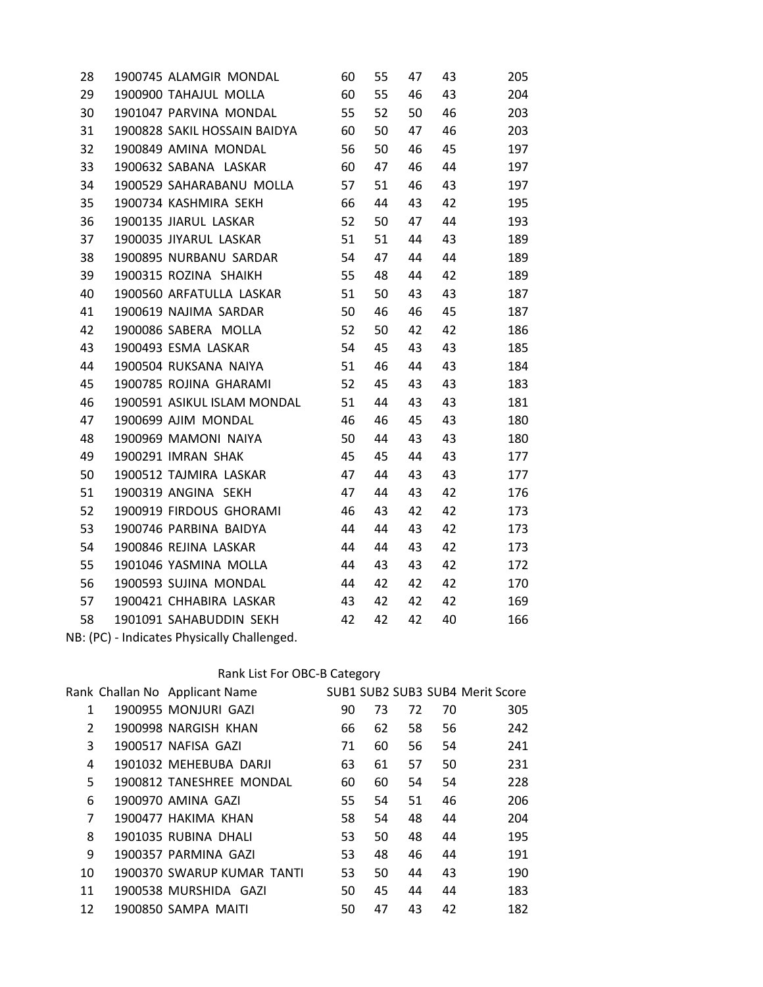| 1900745 ALAMGIR MONDAL   | 60  | 55                                                                                                                 | 47 | 43 | 205 |
|--------------------------|-----|--------------------------------------------------------------------------------------------------------------------|----|----|-----|
| 1900900 TAHAJUL MOLLA    | 60  | 55                                                                                                                 | 46 | 43 | 204 |
| 1901047 PARVINA MONDAL   | 55  | 52                                                                                                                 | 50 | 46 | 203 |
|                          | 60  | 50                                                                                                                 | 47 | 46 | 203 |
| 1900849 AMINA MONDAL     | 56  | 50                                                                                                                 | 46 | 45 | 197 |
| 1900632 SABANA LASKAR    | 60  | 47                                                                                                                 | 46 | 44 | 197 |
|                          | 57  | 51                                                                                                                 | 46 | 43 | 197 |
| 1900734 KASHMIRA SEKH    | 66  | 44                                                                                                                 | 43 | 42 | 195 |
| 1900135 JIARUL LASKAR    | 52  | 50                                                                                                                 | 47 | 44 | 193 |
| 1900035 JIYARUL LASKAR   | 51  | 51                                                                                                                 | 44 | 43 | 189 |
| 1900895 NURBANU SARDAR   | 54  | 47                                                                                                                 | 44 | 44 | 189 |
| 1900315 ROZINA SHAIKH    | 55  | 48                                                                                                                 | 44 | 42 | 189 |
| 1900560 ARFATULLA LASKAR | 51  | 50                                                                                                                 | 43 | 43 | 187 |
| 1900619 NAJIMA SARDAR    | 50  | 46                                                                                                                 | 46 | 45 | 187 |
| 1900086 SABERA MOLLA     | 52  | 50                                                                                                                 | 42 | 42 | 186 |
| 1900493 ESMA LASKAR      | 54  | 45                                                                                                                 | 43 | 43 | 185 |
| 1900504 RUKSANA NAIYA    | 51  | 46                                                                                                                 | 44 | 43 | 184 |
| 1900785 ROJINA GHARAMI   | 52  | 45                                                                                                                 | 43 | 43 | 183 |
|                          | 51  | 44                                                                                                                 | 43 | 43 | 181 |
| 1900699 AJIM MONDAL      | 46  | 46                                                                                                                 | 45 | 43 | 180 |
| 1900969 MAMONI NAIYA     | 50  | 44                                                                                                                 | 43 | 43 | 180 |
| 1900291 IMRAN SHAK       | 45  | 45                                                                                                                 | 44 | 43 | 177 |
| 1900512 TAJMIRA LASKAR   | 47  | 44                                                                                                                 | 43 | 43 | 177 |
| 1900319 ANGINA SEKH      | 47  | 44                                                                                                                 | 43 | 42 | 176 |
| 1900919 FIRDOUS GHORAMI  | 46  | 43                                                                                                                 | 42 | 42 | 173 |
| 1900746 PARBINA BAIDYA   | 44  | 44                                                                                                                 | 43 | 42 | 173 |
| 1900846 REJINA LASKAR    | 44  | 44                                                                                                                 | 43 | 42 | 173 |
| 1901046 YASMINA MOLLA    | -44 | 43                                                                                                                 | 43 | 42 | 172 |
| 1900593 SUJINA MONDAL    | 44  | 42                                                                                                                 | 42 | 42 | 170 |
| 1900421 CHHABIRA LASKAR  | 43  | 42                                                                                                                 | 42 | 42 | 169 |
|                          | 42  | 42                                                                                                                 | 42 | 40 | 166 |
|                          |     | 1900828 SAKIL HOSSAIN BAIDYA<br>1900529 SAHARABANU MOLLA<br>1900591 ASIKUL ISLAM MONDAL<br>1901091 SAHABUDDIN SEKH |    |    |     |

NB: (PC) - Indicates Physically Challenged.

## Rank List For OBC-B Category

|                | Rank Challan No Applicant Name |    |    |    |    | SUB1 SUB2 SUB3 SUB4 Merit Score |  |
|----------------|--------------------------------|----|----|----|----|---------------------------------|--|
| 1              | 1900955 MONJURI GAZI           | 90 | 73 | 72 | 70 | 305                             |  |
| $\overline{2}$ | 1900998 NARGISH KHAN           | 66 | 62 | 58 | 56 | 242                             |  |
| 3              | 1900517 NAFISA GAZI            | 71 | 60 | 56 | 54 | 241                             |  |
| 4              | 1901032 MEHEBUBA DARJI         | 63 | 61 | 57 | 50 | 231                             |  |
| 5.             | 1900812 TANESHREE MONDAL       | 60 | 60 | 54 | 54 | 228                             |  |
| 6              | 1900970 AMINA GAZI             | 55 | 54 | 51 | 46 | 206                             |  |
| 7              | 1900477 HAKIMA KHAN            | 58 | 54 | 48 | 44 | 204                             |  |
| 8              | 1901035 RUBINA DHALI           | 53 | 50 | 48 | 44 | 195                             |  |
| 9              | 1900357 PARMINA GAZI           | 53 | 48 | 46 | 44 | 191                             |  |
| 10             | 1900370 SWARUP KUMAR TANTI     | 53 | 50 | 44 | 43 | 190                             |  |
| 11             | 1900538 MURSHIDA GAZI          | 50 | 45 | 44 | 44 | 183                             |  |
| 12             | 1900850 SAMPA MAITI            | 50 | 47 | 43 | 42 | 182                             |  |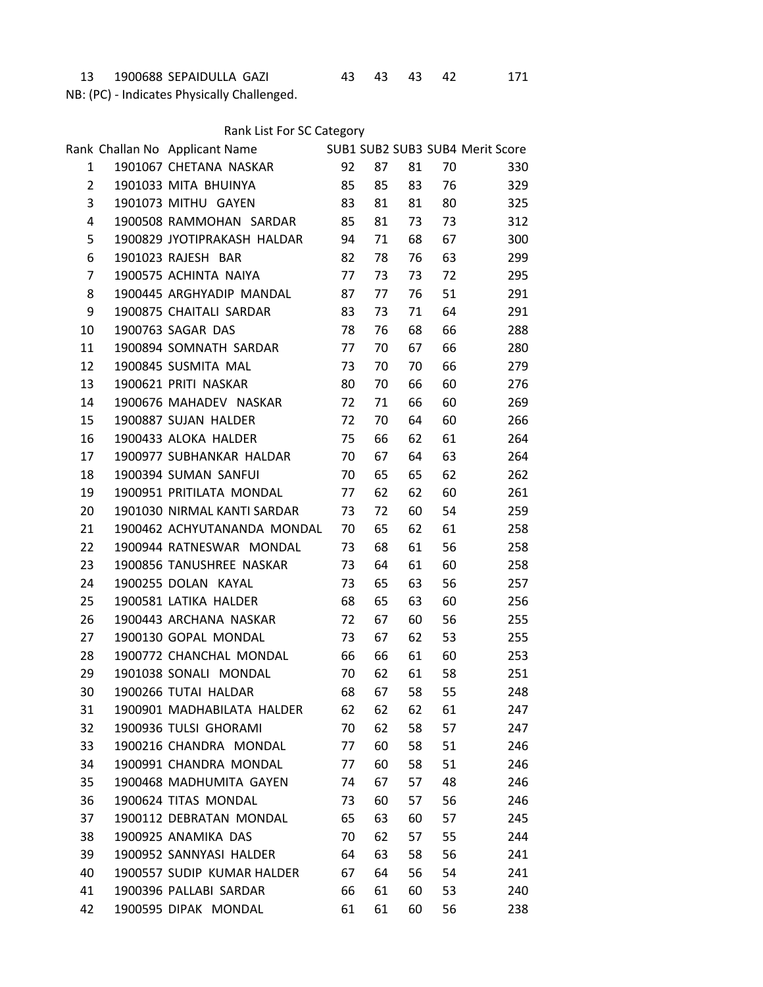1900688 SEPAIDULLA GAZI 43 43 43 42 171

NB: (PC) - Indicates Physically Challenged.

|  | Rank List For SC Category |
|--|---------------------------|
|--|---------------------------|

|                 | Rank Challan No Applicant Name SUB1 SUB1 SUB2 SUB3 SUB4 Merit Score |    |    |    |    |     |  |
|-----------------|---------------------------------------------------------------------|----|----|----|----|-----|--|
| $\mathbf{1}$    | 1901067 CHETANA NASKAR                                              | 92 | 87 | 81 | 70 | 330 |  |
| $2^{\circ}$     | 1901033 MITA BHUINYA                                                | 85 | 85 | 83 | 76 | 329 |  |
| 3               | 1901073 MITHU GAYEN                                                 | 83 | 81 | 81 | 80 | 325 |  |
| $\overline{4}$  | 1900508 RAMMOHAN SARDAR                                             | 85 | 81 | 73 | 73 | 312 |  |
| 5               | 1900829 JYOTIPRAKASH HALDAR 94                                      |    | 71 | 68 | 67 | 300 |  |
| 6               | 1901023 RAJESH BAR                                                  | 82 | 78 | 76 | 63 | 299 |  |
| $\overline{7}$  | 1900575 ACHINTA NAIYA                                               | 77 | 73 | 73 | 72 | 295 |  |
| 8               | 1900445 ARGHYADIP MANDAL                                            | 87 | 77 | 76 | 51 | 291 |  |
| 9               | 1900875 CHAITALI SARDAR                                             | 83 | 73 | 71 | 64 | 291 |  |
| 10              | 1900763 SAGAR DAS                                                   | 78 | 76 | 68 | 66 | 288 |  |
| 11              | 1900894 SOMNATH SARDAR                                              | 77 | 70 | 67 | 66 | 280 |  |
| 12 <sup>2</sup> | 1900845 SUSMITA MAL                                                 | 73 | 70 | 70 | 66 | 279 |  |
| 13              | 1900621 PRITI NASKAR                                                | 80 | 70 | 66 | 60 | 276 |  |
| 14              | 1900676 MAHADEV NASKAR                                              | 72 | 71 | 66 | 60 | 269 |  |
| 15 <sub>1</sub> | 1900887 SUJAN HALDER                                                | 72 | 70 | 64 | 60 | 266 |  |
| 16              | 1900433 ALOKA HALDER                                                | 75 | 66 | 62 | 61 | 264 |  |
| 17              | 1900977 SUBHANKAR HALDAR                                            | 70 | 67 | 64 | 63 | 264 |  |
| 18              | 1900394 SUMAN SANFUI                                                | 70 | 65 | 65 | 62 | 262 |  |
| 19              | 1900951 PRITILATA MONDAL                                            | 77 | 62 | 62 | 60 | 261 |  |
| 20              | 1901030 NIRMAL KANTI SARDAR                                         | 73 | 72 | 60 | 54 | 259 |  |
| 21              | 1900462 ACHYUTANANDA MONDAL                                         | 70 | 65 | 62 | 61 | 258 |  |
| 22              | 1900944 RATNESWAR MONDAL                                            | 73 | 68 | 61 | 56 | 258 |  |
| 23              | 1900856 TANUSHREE NASKAR                                            | 73 | 64 | 61 | 60 | 258 |  |
| 24              | 1900255 DOLAN KAYAL                                                 | 73 | 65 | 63 | 56 | 257 |  |
| 25              | 1900581 LATIKA HALDER                                               | 68 | 65 | 63 | 60 | 256 |  |
| 26              | 1900443 ARCHANA NASKAR                                              | 72 | 67 | 60 | 56 | 255 |  |
| 27              | 1900130 GOPAL MONDAL                                                | 73 | 67 | 62 | 53 | 255 |  |
| 28              | 1900772 CHANCHAL MONDAL                                             | 66 | 66 | 61 | 60 | 253 |  |
| 29              | 1901038 SONALI MONDAL                                               | 70 | 62 | 61 | 58 | 251 |  |
| 30              | 1900266 TUTAI HALDAR                                                | 68 | 67 | 58 | 55 | 248 |  |
| 31              | 1900901 MADHABILATA HALDER                                          | 62 | 62 | 62 | 61 | 247 |  |
| 32              | 1900936 TULSI GHORAMI                                               | 70 | 62 | 58 | 57 | 247 |  |
| 33              | 1900216 CHANDRA MONDAL                                              | 77 | 60 | 58 | 51 | 246 |  |
| 34              | 1900991 CHANDRA MONDAL                                              | 77 | 60 | 58 | 51 | 246 |  |
| 35              | 1900468 MADHUMITA GAYEN                                             | 74 | 67 | 57 | 48 | 246 |  |
| 36              | 1900624 TITAS MONDAL                                                | 73 | 60 | 57 | 56 | 246 |  |
| 37              | 1900112 DEBRATAN MONDAL                                             | 65 | 63 | 60 | 57 | 245 |  |
| 38              | 1900925 ANAMIKA DAS                                                 | 70 | 62 | 57 | 55 | 244 |  |
| 39              | 1900952 SANNYASI HALDER                                             | 64 | 63 | 58 | 56 | 241 |  |
| 40              | 1900557 SUDIP KUMAR HALDER                                          | 67 | 64 | 56 | 54 | 241 |  |
| 41              | 1900396 PALLABI SARDAR                                              | 66 | 61 | 60 | 53 | 240 |  |
| 42              | 1900595 DIPAK MONDAL                                                | 61 | 61 | 60 | 56 | 238 |  |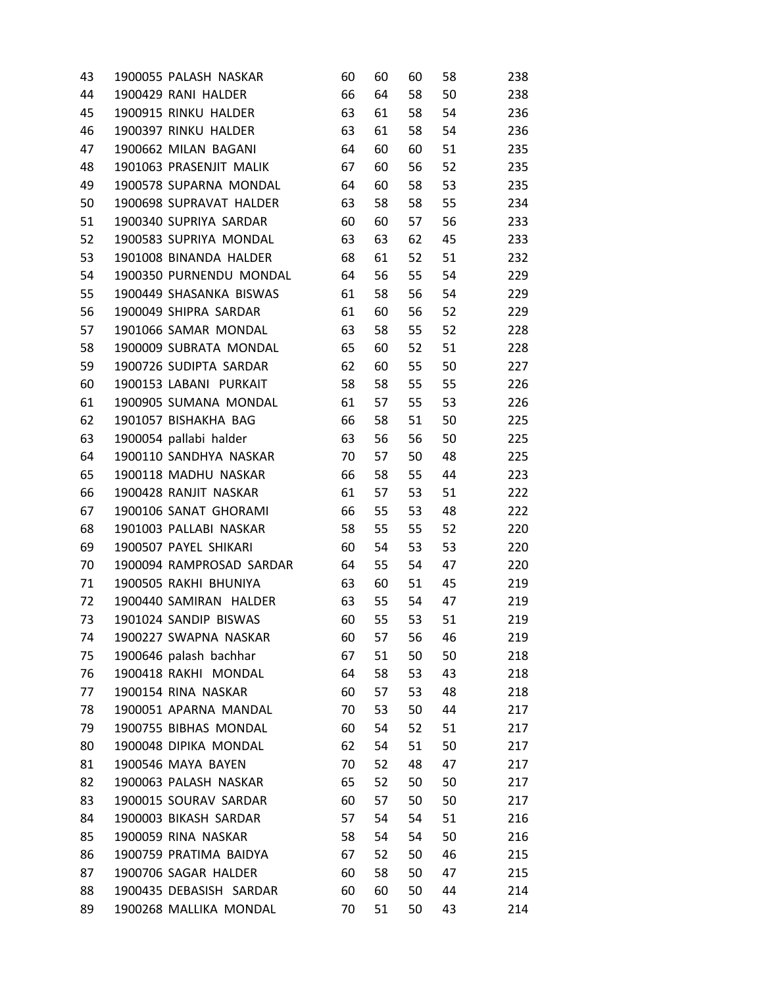| 43 | 1900055 PALASH NASKAR    | 60 | 60 | 60 | 58 | 238 |
|----|--------------------------|----|----|----|----|-----|
| 44 | 1900429 RANI HALDER      | 66 | 64 | 58 | 50 | 238 |
| 45 | 1900915 RINKU HALDER     | 63 | 61 | 58 | 54 | 236 |
| 46 | 1900397 RINKU HALDER     | 63 | 61 | 58 | 54 | 236 |
| 47 | 1900662 MILAN BAGANI     | 64 | 60 | 60 | 51 | 235 |
| 48 | 1901063 PRASENJIT MALIK  | 67 | 60 | 56 | 52 | 235 |
| 49 | 1900578 SUPARNA MONDAL   | 64 | 60 | 58 | 53 | 235 |
| 50 | 1900698 SUPRAVAT HALDER  | 63 | 58 | 58 | 55 | 234 |
| 51 | 1900340 SUPRIYA SARDAR   | 60 | 60 | 57 | 56 | 233 |
| 52 | 1900583 SUPRIYA MONDAL   | 63 | 63 | 62 | 45 | 233 |
| 53 | 1901008 BINANDA HALDER   | 68 | 61 | 52 | 51 | 232 |
| 54 | 1900350 PURNENDU MONDAL  | 64 | 56 | 55 | 54 | 229 |
| 55 | 1900449 SHASANKA BISWAS  | 61 | 58 | 56 | 54 | 229 |
| 56 | 1900049 SHIPRA SARDAR    | 61 | 60 | 56 | 52 | 229 |
| 57 | 1901066 SAMAR MONDAL     | 63 | 58 | 55 | 52 | 228 |
| 58 | 1900009 SUBRATA MONDAL   | 65 | 60 | 52 | 51 | 228 |
| 59 | 1900726 SUDIPTA SARDAR   | 62 | 60 | 55 | 50 | 227 |
| 60 | 1900153 LABANI PURKAIT   | 58 | 58 | 55 | 55 | 226 |
| 61 | 1900905 SUMANA MONDAL    | 61 | 57 | 55 | 53 | 226 |
| 62 | 1901057 BISHAKHA BAG     | 66 | 58 | 51 | 50 | 225 |
| 63 | 1900054 pallabi halder   | 63 | 56 | 56 | 50 | 225 |
| 64 | 1900110 SANDHYA NASKAR   | 70 | 57 | 50 | 48 | 225 |
| 65 | 1900118 MADHU NASKAR     | 66 | 58 | 55 | 44 | 223 |
| 66 | 1900428 RANJIT NASKAR    | 61 | 57 | 53 | 51 | 222 |
| 67 | 1900106 SANAT GHORAMI    | 66 | 55 | 53 | 48 | 222 |
| 68 | 1901003 PALLABI NASKAR   | 58 | 55 | 55 | 52 | 220 |
| 69 | 1900507 PAYEL SHIKARI    | 60 | 54 | 53 | 53 | 220 |
| 70 | 1900094 RAMPROSAD SARDAR | 64 | 55 | 54 | 47 | 220 |
| 71 | 1900505 RAKHI BHUNIYA    | 63 | 60 | 51 | 45 | 219 |
| 72 | 1900440 SAMIRAN HALDER   | 63 | 55 | 54 | 47 | 219 |
| 73 | 1901024 SANDIP BISWAS    | 60 | 55 | 53 | 51 | 219 |
| 74 | 1900227 SWAPNA NASKAR    | 60 | 57 | 56 | 46 | 219 |
| 75 | 1900646 palash bachhar   | 67 | 51 | 50 | 50 | 218 |
| 76 | 1900418 RAKHI MONDAL     | 64 | 58 | 53 | 43 | 218 |
| 77 | 1900154 RINA NASKAR      | 60 | 57 | 53 | 48 | 218 |
| 78 | 1900051 APARNA MANDAL    | 70 | 53 | 50 | 44 | 217 |
| 79 | 1900755 BIBHAS MONDAL    | 60 | 54 | 52 | 51 | 217 |
| 80 | 1900048 DIPIKA MONDAL    | 62 | 54 | 51 | 50 | 217 |
| 81 | 1900546 MAYA BAYEN       | 70 | 52 | 48 | 47 | 217 |
| 82 | 1900063 PALASH NASKAR    | 65 | 52 | 50 | 50 | 217 |
| 83 | 1900015 SOURAV SARDAR    | 60 | 57 | 50 | 50 | 217 |
| 84 | 1900003 BIKASH SARDAR    | 57 | 54 | 54 | 51 | 216 |
| 85 | 1900059 RINA NASKAR      | 58 | 54 | 54 | 50 | 216 |
| 86 | 1900759 PRATIMA BAIDYA   | 67 | 52 | 50 | 46 | 215 |
| 87 | 1900706 SAGAR HALDER     | 60 | 58 | 50 | 47 | 215 |
| 88 | 1900435 DEBASISH SARDAR  | 60 | 60 | 50 | 44 | 214 |
| 89 | 1900268 MALLIKA MONDAL   | 70 | 51 | 50 | 43 | 214 |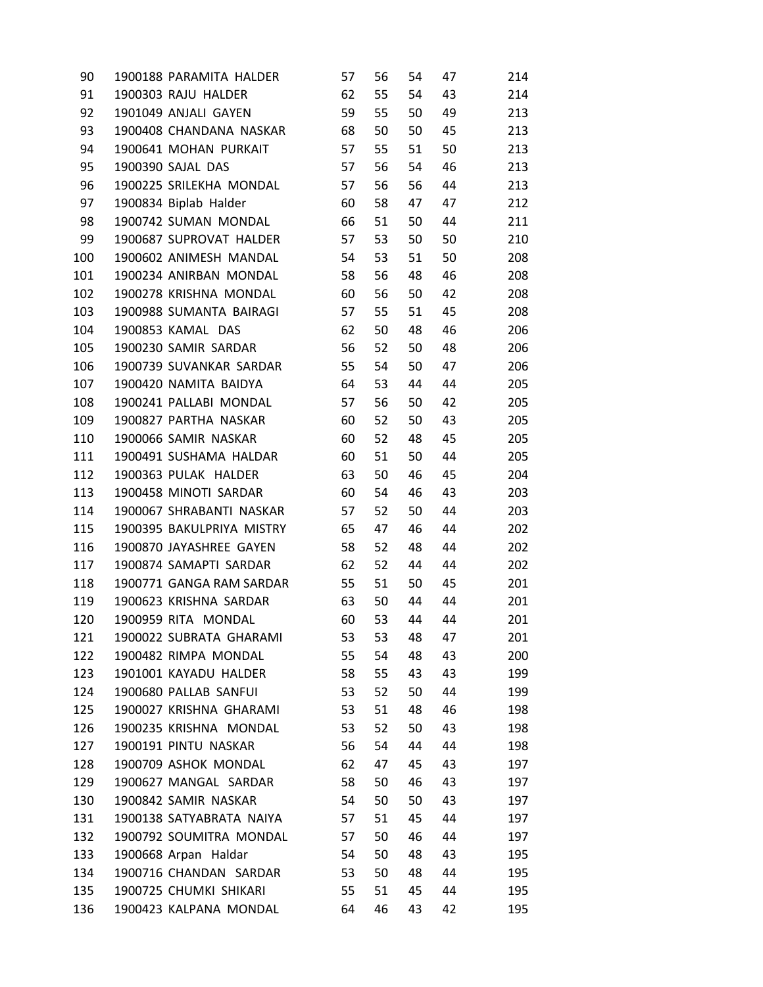| 90  | 1900188 PARAMITA HALDER   | 57 | 56 | 54 | 47 | 214 |
|-----|---------------------------|----|----|----|----|-----|
| 91  | 1900303 RAJU HALDER       | 62 | 55 | 54 | 43 | 214 |
| 92  | 1901049 ANJALI GAYEN      | 59 | 55 | 50 | 49 | 213 |
| 93  | 1900408 CHANDANA NASKAR   | 68 | 50 | 50 | 45 | 213 |
| 94  | 1900641 MOHAN PURKAIT     | 57 | 55 | 51 | 50 | 213 |
| 95  | 1900390 SAJAL DAS         | 57 | 56 | 54 | 46 | 213 |
| 96  | 1900225 SRILEKHA MONDAL   | 57 | 56 | 56 | 44 | 213 |
| 97  | 1900834 Biplab Halder     | 60 | 58 | 47 | 47 | 212 |
| 98  | 1900742 SUMAN MONDAL      | 66 | 51 | 50 | 44 | 211 |
| 99  | 1900687 SUPROVAT HALDER   | 57 | 53 | 50 | 50 | 210 |
| 100 | 1900602 ANIMESH MANDAL    | 54 | 53 | 51 | 50 | 208 |
| 101 | 1900234 ANIRBAN MONDAL    | 58 | 56 | 48 | 46 | 208 |
| 102 | 1900278 KRISHNA MONDAL    | 60 | 56 | 50 | 42 | 208 |
| 103 | 1900988 SUMANTA BAIRAGI   | 57 | 55 | 51 | 45 | 208 |
| 104 | 1900853 KAMAL DAS         | 62 | 50 | 48 | 46 | 206 |
| 105 | 1900230 SAMIR SARDAR      | 56 | 52 | 50 | 48 | 206 |
| 106 | 1900739 SUVANKAR SARDAR   | 55 | 54 | 50 | 47 | 206 |
| 107 | 1900420 NAMITA BAIDYA     | 64 | 53 | 44 | 44 | 205 |
| 108 | 1900241 PALLABI MONDAL    | 57 | 56 | 50 | 42 | 205 |
| 109 | 1900827 PARTHA NASKAR     | 60 | 52 | 50 | 43 | 205 |
| 110 | 1900066 SAMIR NASKAR      | 60 | 52 | 48 | 45 | 205 |
| 111 | 1900491 SUSHAMA HALDAR    | 60 | 51 | 50 | 44 | 205 |
| 112 | 1900363 PULAK HALDER      | 63 | 50 | 46 | 45 | 204 |
| 113 | 1900458 MINOTI SARDAR     | 60 | 54 | 46 | 43 | 203 |
| 114 | 1900067 SHRABANTI NASKAR  | 57 | 52 | 50 | 44 | 203 |
| 115 | 1900395 BAKULPRIYA MISTRY | 65 | 47 | 46 | 44 | 202 |
| 116 | 1900870 JAYASHREE GAYEN   | 58 | 52 | 48 | 44 | 202 |
| 117 | 1900874 SAMAPTI SARDAR    | 62 | 52 | 44 | 44 | 202 |
| 118 | 1900771 GANGA RAM SARDAR  | 55 | 51 | 50 | 45 | 201 |
| 119 | 1900623 KRISHNA SARDAR    | 63 | 50 | 44 | 44 | 201 |
| 120 | 1900959 RITA MONDAL       | 60 | 53 | 44 | 44 | 201 |
| 121 | 1900022 SUBRATA GHARAMI   | 53 | 53 | 48 | 47 | 201 |
| 122 | 1900482 RIMPA MONDAL      | 55 | 54 | 48 | 43 | 200 |
| 123 | 1901001 KAYADU HALDER     | 58 | 55 | 43 | 43 | 199 |
| 124 | 1900680 PALLAB SANFUI     | 53 | 52 | 50 | 44 | 199 |
| 125 | 1900027 KRISHNA GHARAMI   | 53 | 51 | 48 | 46 | 198 |
| 126 | 1900235 KRISHNA MONDAL    | 53 | 52 | 50 | 43 | 198 |
| 127 | 1900191 PINTU NASKAR      | 56 | 54 | 44 | 44 | 198 |
| 128 | 1900709 ASHOK MONDAL      | 62 | 47 | 45 | 43 | 197 |
| 129 | 1900627 MANGAL SARDAR     | 58 | 50 | 46 | 43 | 197 |
| 130 | 1900842 SAMIR NASKAR      | 54 | 50 | 50 | 43 | 197 |
| 131 | 1900138 SATYABRATA NAIYA  | 57 | 51 | 45 | 44 | 197 |
| 132 | 1900792 SOUMITRA MONDAL   | 57 | 50 | 46 | 44 | 197 |
| 133 | 1900668 Arpan Haldar      | 54 | 50 | 48 | 43 | 195 |
| 134 | 1900716 CHANDAN SARDAR    | 53 | 50 | 48 | 44 | 195 |
| 135 | 1900725 CHUMKI SHIKARI    | 55 | 51 | 45 | 44 | 195 |
| 136 | 1900423 KALPANA MONDAL    | 64 | 46 | 43 | 42 | 195 |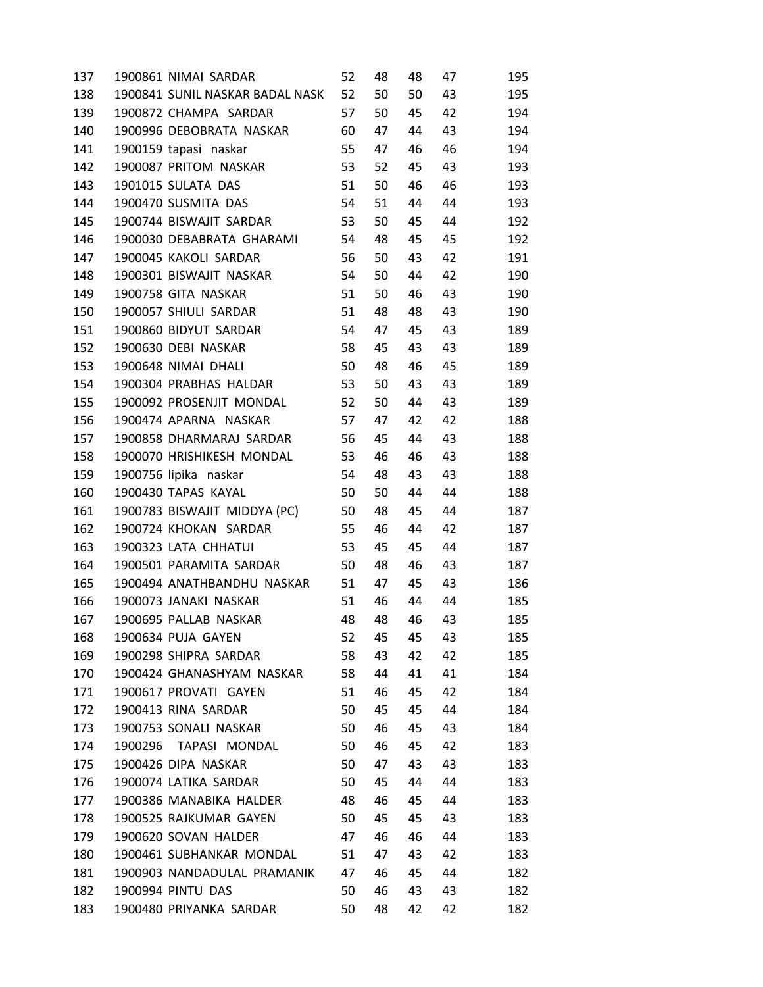| 137 | 1900861 NIMAI SARDAR            | 52 | 48 | 48 | 47 | 195 |
|-----|---------------------------------|----|----|----|----|-----|
| 138 | 1900841 SUNIL NASKAR BADAL NASK | 52 | 50 | 50 | 43 | 195 |
| 139 | 1900872 CHAMPA SARDAR           | 57 | 50 | 45 | 42 | 194 |
| 140 | 1900996 DEBOBRATA NASKAR        | 60 | 47 | 44 | 43 | 194 |
| 141 | 1900159 tapasi naskar           | 55 | 47 | 46 | 46 | 194 |
| 142 | 1900087 PRITOM NASKAR           | 53 | 52 | 45 | 43 | 193 |
| 143 | 1901015 SULATA DAS              | 51 | 50 | 46 | 46 | 193 |
| 144 | 1900470 SUSMITA DAS             | 54 | 51 | 44 | 44 | 193 |
| 145 | 1900744 BISWAJIT SARDAR         | 53 | 50 | 45 | 44 | 192 |
| 146 | 1900030 DEBABRATA GHARAMI       | 54 | 48 | 45 | 45 | 192 |
| 147 | 1900045 KAKOLI SARDAR           | 56 | 50 | 43 | 42 | 191 |
| 148 | 1900301 BISWAJIT NASKAR         | 54 | 50 | 44 | 42 | 190 |
| 149 | 1900758 GITA NASKAR             | 51 | 50 | 46 | 43 | 190 |
| 150 | 1900057 SHIULI SARDAR           | 51 | 48 | 48 | 43 | 190 |
| 151 | 1900860 BIDYUT SARDAR           | 54 | 47 | 45 | 43 | 189 |
| 152 | 1900630 DEBI NASKAR             | 58 | 45 | 43 | 43 | 189 |
| 153 | 1900648 NIMAI DHALI             | 50 | 48 | 46 | 45 | 189 |
| 154 | 1900304 PRABHAS HALDAR          | 53 | 50 | 43 | 43 | 189 |
| 155 | 1900092 PROSENJIT MONDAL        | 52 | 50 | 44 | 43 | 189 |
| 156 | 1900474 APARNA NASKAR           | 57 | 47 | 42 | 42 | 188 |
| 157 | 1900858 DHARMARAJ SARDAR        | 56 | 45 | 44 | 43 | 188 |
| 158 | 1900070 HRISHIKESH MONDAL       | 53 | 46 | 46 | 43 | 188 |
| 159 | 1900756 lipika naskar           | 54 | 48 | 43 | 43 | 188 |
| 160 | 1900430 TAPAS KAYAL             | 50 | 50 | 44 | 44 | 188 |
| 161 | 1900783 BISWAJIT MIDDYA (PC)    | 50 | 48 | 45 | 44 | 187 |
| 162 | 1900724 KHOKAN SARDAR           | 55 | 46 | 44 | 42 | 187 |
| 163 | 1900323 LATA CHHATUI            | 53 | 45 | 45 | 44 | 187 |
| 164 | 1900501 PARAMITA SARDAR         | 50 | 48 | 46 | 43 | 187 |
| 165 | 1900494 ANATHBANDHU NASKAR      | 51 | 47 | 45 | 43 | 186 |
| 166 | 1900073 JANAKI NASKAR           | 51 | 46 | 44 | 44 | 185 |
| 167 | 1900695 PALLAB NASKAR           | 48 | 48 | 46 | 43 | 185 |
| 168 | 1900634 PUJA GAYEN              | 52 | 45 | 45 | 43 | 185 |
| 169 | 1900298 SHIPRA SARDAR           | 58 | 43 | 42 | 42 | 185 |
| 170 | 1900424 GHANASHYAM NASKAR       | 58 | 44 | 41 | 41 | 184 |
| 171 | 1900617 PROVATI GAYEN           | 51 | 46 | 45 | 42 | 184 |
| 172 | 1900413 RINA SARDAR             | 50 | 45 | 45 | 44 | 184 |
| 173 | 1900753 SONALI NASKAR           | 50 | 46 | 45 | 43 | 184 |
| 174 | 1900296 TAPASI MONDAL           | 50 | 46 | 45 | 42 | 183 |
| 175 | 1900426 DIPA NASKAR             | 50 | 47 | 43 | 43 | 183 |
| 176 | 1900074 LATIKA SARDAR           | 50 | 45 | 44 | 44 | 183 |
| 177 | 1900386 MANABIKA HALDER         | 48 | 46 | 45 | 44 | 183 |
| 178 | 1900525 RAJKUMAR GAYEN          | 50 | 45 | 45 | 43 | 183 |
| 179 | 1900620 SOVAN HALDER            | 47 | 46 | 46 | 44 | 183 |
| 180 | 1900461 SUBHANKAR MONDAL        | 51 | 47 | 43 | 42 | 183 |
| 181 | 1900903 NANDADULAL PRAMANIK     | 47 | 46 | 45 | 44 | 182 |
| 182 | 1900994 PINTU DAS               | 50 | 46 | 43 | 43 | 182 |
| 183 | 1900480 PRIYANKA SARDAR         | 50 | 48 | 42 | 42 | 182 |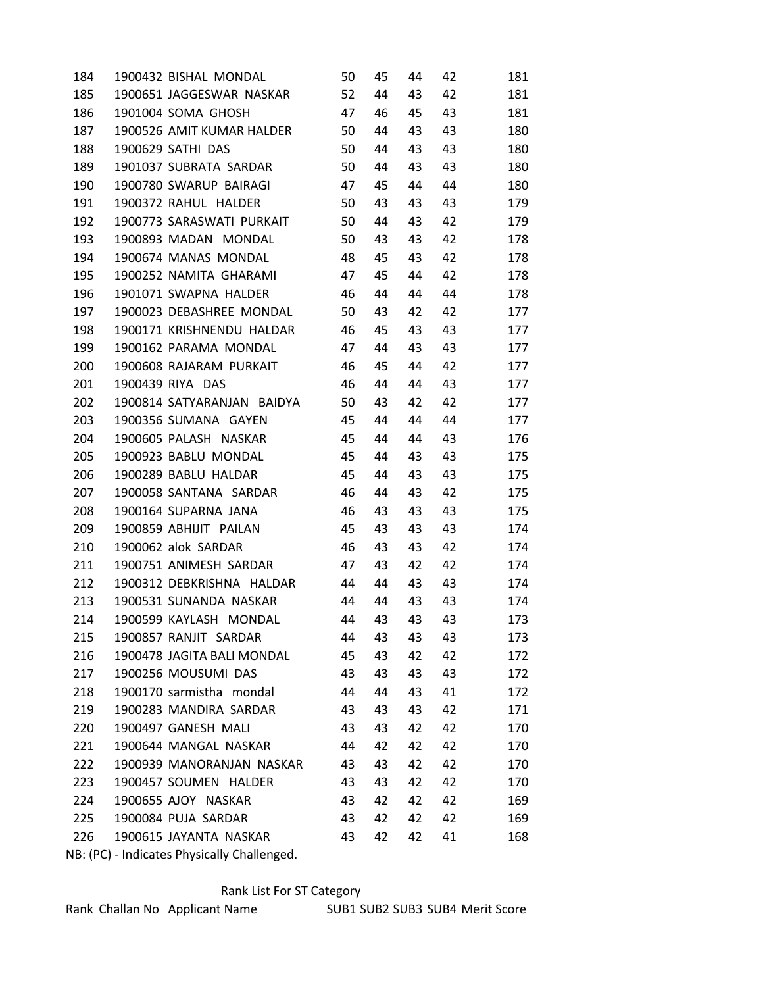| 184                                         | 1900432 BISHAL MONDAL      | 50 | 45 | 44 | 42 | 181 |  |  |  |
|---------------------------------------------|----------------------------|----|----|----|----|-----|--|--|--|
| 185                                         | 1900651 JAGGESWAR NASKAR   | 52 | 44 | 43 | 42 | 181 |  |  |  |
| 186                                         | 1901004 SOMA GHOSH         | 47 | 46 | 45 | 43 | 181 |  |  |  |
| 187                                         | 1900526 AMIT KUMAR HALDER  | 50 | 44 | 43 | 43 | 180 |  |  |  |
| 188                                         | 1900629 SATHI DAS          | 50 | 44 | 43 | 43 | 180 |  |  |  |
| 189                                         | 1901037 SUBRATA SARDAR     | 50 | 44 | 43 | 43 | 180 |  |  |  |
| 190                                         | 1900780 SWARUP BAIRAGI     | 47 | 45 | 44 | 44 | 180 |  |  |  |
| 191                                         | 1900372 RAHUL HALDER       | 50 | 43 | 43 | 43 | 179 |  |  |  |
| 192                                         | 1900773 SARASWATI PURKAIT  | 50 | 44 | 43 | 42 | 179 |  |  |  |
| 193                                         | 1900893 MADAN MONDAL       | 50 | 43 | 43 | 42 | 178 |  |  |  |
| 194                                         | 1900674 MANAS MONDAL       | 48 | 45 | 43 | 42 | 178 |  |  |  |
| 195                                         | 1900252 NAMITA GHARAMI     | 47 | 45 | 44 | 42 | 178 |  |  |  |
| 196                                         | 1901071 SWAPNA HALDER      | 46 | 44 | 44 | 44 | 178 |  |  |  |
| 197                                         | 1900023 DEBASHREE MONDAL   | 50 | 43 | 42 | 42 | 177 |  |  |  |
| 198                                         | 1900171 KRISHNENDU HALDAR  | 46 | 45 | 43 | 43 | 177 |  |  |  |
| 199                                         | 1900162 PARAMA MONDAL      | 47 | 44 | 43 | 43 | 177 |  |  |  |
| 200                                         | 1900608 RAJARAM PURKAIT    | 46 | 45 | 44 | 42 | 177 |  |  |  |
| 201                                         | 1900439 RIYA DAS           | 46 | 44 | 44 | 43 | 177 |  |  |  |
| 202                                         | 1900814 SATYARANJAN BAIDYA | 50 | 43 | 42 | 42 | 177 |  |  |  |
| 203                                         | 1900356 SUMANA GAYEN       | 45 | 44 | 44 | 44 | 177 |  |  |  |
| 204                                         | 1900605 PALASH NASKAR      | 45 | 44 | 44 | 43 | 176 |  |  |  |
| 205                                         | 1900923 BABLU MONDAL       | 45 | 44 | 43 | 43 | 175 |  |  |  |
| 206                                         | 1900289 BABLU HALDAR       | 45 | 44 | 43 | 43 | 175 |  |  |  |
| 207                                         | 1900058 SANTANA SARDAR     | 46 | 44 | 43 | 42 | 175 |  |  |  |
| 208                                         | 1900164 SUPARNA JANA       | 46 | 43 | 43 | 43 | 175 |  |  |  |
| 209                                         | 1900859 ABHIJIT PAILAN     | 45 | 43 | 43 | 43 | 174 |  |  |  |
| 210                                         | 1900062 alok SARDAR        | 46 | 43 | 43 | 42 | 174 |  |  |  |
| 211                                         | 1900751 ANIMESH SARDAR     | 47 | 43 | 42 | 42 | 174 |  |  |  |
| 212                                         | 1900312 DEBKRISHNA HALDAR  | 44 | 44 | 43 | 43 | 174 |  |  |  |
| 213                                         | 1900531 SUNANDA NASKAR     | 44 | 44 | 43 | 43 | 174 |  |  |  |
| 214                                         | 1900599 KAYLASH MONDAL     | 44 | 43 | 43 | 43 | 173 |  |  |  |
| 215                                         | 1900857 RANJIT SARDAR      | 44 | 43 | 43 | 43 | 173 |  |  |  |
| 216                                         | 1900478 JAGITA BALI MONDAL | 45 | 43 | 42 | 42 | 172 |  |  |  |
| 217                                         | 1900256 MOUSUMI DAS        | 43 | 43 | 43 | 43 | 172 |  |  |  |
| 218                                         | 1900170 sarmistha mondal   | 44 | 44 | 43 | 41 | 172 |  |  |  |
| 219                                         | 1900283 MANDIRA SARDAR     | 43 | 43 | 43 | 42 | 171 |  |  |  |
| 220                                         | 1900497 GANESH MALI        | 43 | 43 | 42 | 42 | 170 |  |  |  |
| 221                                         | 1900644 MANGAL NASKAR      | 44 | 42 | 42 | 42 | 170 |  |  |  |
| 222                                         | 1900939 MANORANJAN NASKAR  | 43 | 43 | 42 | 42 | 170 |  |  |  |
| 223                                         | 1900457 SOUMEN HALDER      | 43 | 43 | 42 | 42 | 170 |  |  |  |
| 224                                         | 1900655 AJOY NASKAR        | 43 | 42 | 42 | 42 | 169 |  |  |  |
| 225                                         | 1900084 PUJA SARDAR        | 43 | 42 | 42 | 42 | 169 |  |  |  |
| 226                                         | 1900615 JAYANTA NASKAR     | 43 | 42 | 42 | 41 | 168 |  |  |  |
| NB: (PC) - Indicates Physically Challenged. |                            |    |    |    |    |     |  |  |  |

## Rank List For ST Category

Rank Challan No Applicant Name SUB1 SUB2 SUB3 SUB4 Merit Score